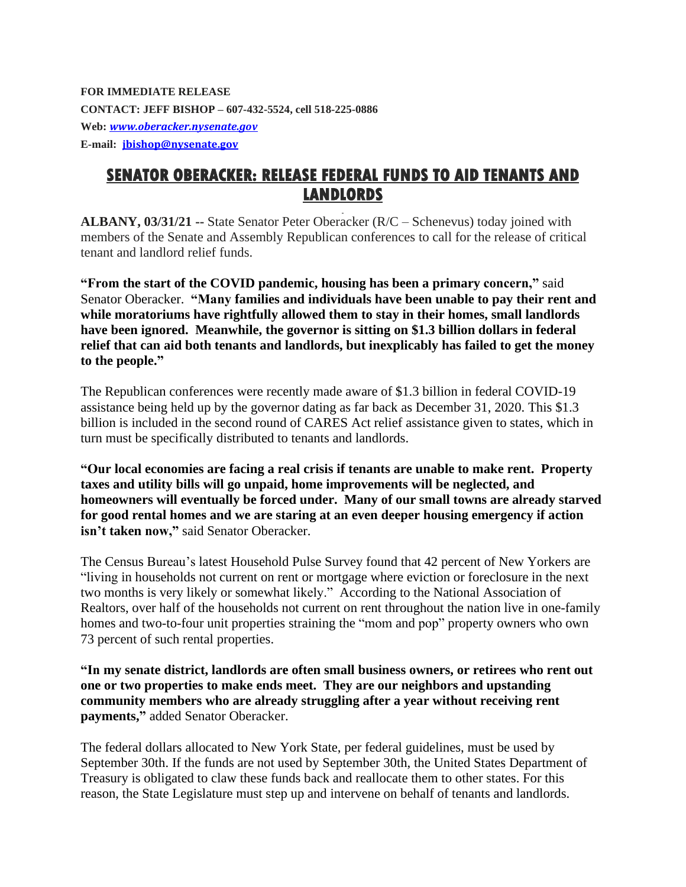**FOR IMMEDIATE RELEASE CONTACT: JEFF BISHOP – 607-432-5524, cell 518-225-0886 Web:** *[www.oberacker.nysenate.gov](https://nam12.safelinks.protection.outlook.com/?url=http%3A%2F%2Fwww.oberacker.nysenate.gov%2F&data=04%7C01%7CEric.Malanoski%40townsquaremedia.com%7Ce6d61b7d456c4cf6a93a08d8f4986917%7Ca473edd8ba254f04a0a8e8ad25c19632%7C0%7C0%7C637528282723560917%7CUnknown%7CTWFpbGZsb3d8eyJWIjoiMC4wLjAwMDAiLCJQIjoiV2luMzIiLCJBTiI6Ik1haWwiLCJXVCI6Mn0%3D%7C1000&sdata=XaCP7tWNpwkl5jaFqySvEniK06F9FM%2B4D8niijMGpSg%3D&reserved=0)* **E-mail: [jbishop@nysenate.gov](mailto:jbishop@nysenate.gov)**

## **SENATOR OBERACKER: RELEASE FEDERAL FUNDS TO AID TENANTS AND LANDLORDS**

**ALBANY, 03/31/21 --** State Senator Peter Oberacker (R/C – Schenevus) today joined with members of the Senate and Assembly Republican conferences to call for the release of critical tenant and landlord relief funds.

**"From the start of the COVID pandemic, housing has been a primary concern,"** said Senator Oberacker. **"Many families and individuals have been unable to pay their rent and while moratoriums have rightfully allowed them to stay in their homes, small landlords have been ignored. Meanwhile, the governor is sitting on \$1.3 billion dollars in federal relief that can aid both tenants and landlords, but inexplicably has failed to get the money to the people."**

The Republican conferences were recently made aware of \$1.3 billion in federal COVID-19 assistance being held up by the governor dating as far back as December 31, 2020. This \$1.3 billion is included in the second round of CARES Act relief assistance given to states, which in turn must be specifically distributed to tenants and landlords.

**"Our local economies are facing a real crisis if tenants are unable to make rent. Property taxes and utility bills will go unpaid, home improvements will be neglected, and homeowners will eventually be forced under. Many of our small towns are already starved for good rental homes and we are staring at an even deeper housing emergency if action isn't taken now,"** said Senator Oberacker.

The Census Bureau's latest Household Pulse Survey found that 42 percent of New Yorkers are "living in households not current on rent or mortgage where eviction or foreclosure in the next two months is very likely or somewhat likely." According to the National Association of Realtors, over half of the households not current on rent throughout the nation live in one-family homes and two-to-four unit properties straining the "mom and pop" property owners who own 73 percent of such rental properties.

**"In my senate district, landlords are often small business owners, or retirees who rent out one or two properties to make ends meet. They are our neighbors and upstanding community members who are already struggling after a year without receiving rent payments,"** added Senator Oberacker.

The federal dollars allocated to New York State, per federal guidelines, must be used by September 30th. If the funds are not used by September 30th, the United States Department of Treasury is obligated to claw these funds back and reallocate them to other states. For this reason, the State Legislature must step up and intervene on behalf of tenants and landlords.